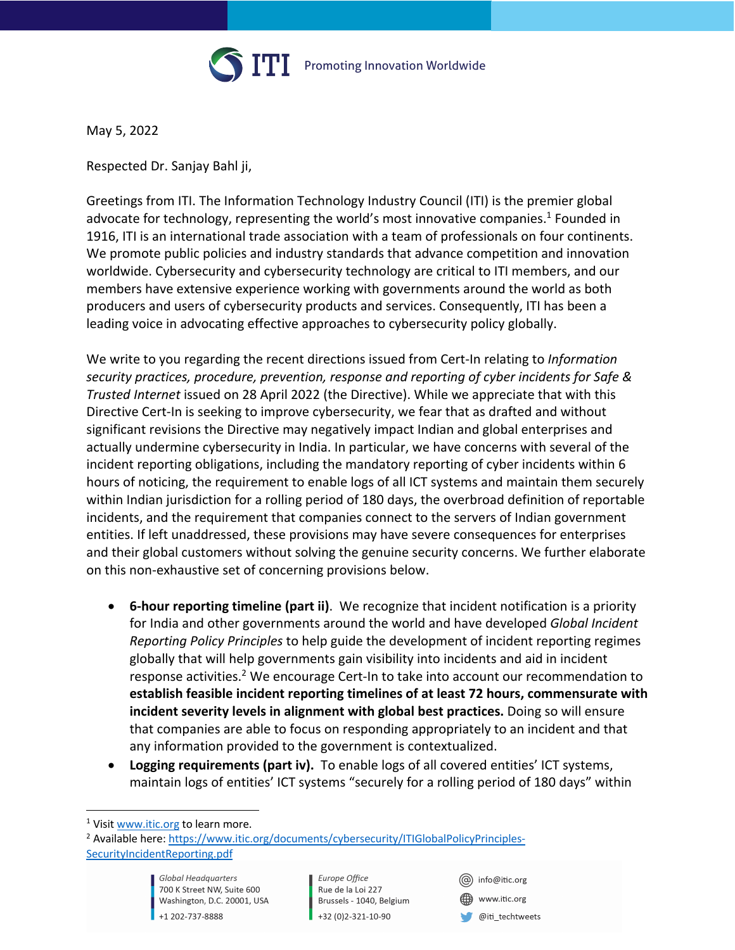

Promoting Innovation Worldwide

May 5, 2022

Respected Dr. Sanjay Bahl ji,

Greetings from ITI. The Information Technology Industry Council (ITI) is the premier global advocate for technology, representing the world's most innovative companies.<sup>1</sup> Founded in 1916, ITI is an international trade association with a team of professionals on four continents. We promote public policies and industry standards that advance competition and innovation worldwide. Cybersecurity and cybersecurity technology are critical to ITI members, and our members have extensive experience working with governments around the world as both producers and users of cybersecurity products and services. Consequently, ITI has been a leading voice in advocating effective approaches to cybersecurity policy globally.

We write to you regarding the recent directions issued from Cert-In relating to *Information security practices, procedure, prevention, response and reporting of cyber incidents for Safe & Trusted Internet* issued on 28 April 2022 (the Directive). While we appreciate that with this Directive Cert-In is seeking to improve cybersecurity, we fear that as drafted and without significant revisions the Directive may negatively impact Indian and global enterprises and actually undermine cybersecurity in India. In particular, we have concerns with several of the incident reporting obligations, including the mandatory reporting of cyber incidents within 6 hours of noticing, the requirement to enable logs of all ICT systems and maintain them securely within Indian jurisdiction for a rolling period of 180 days, the overbroad definition of reportable incidents, and the requirement that companies connect to the servers of Indian government entities. If left unaddressed, these provisions may have severe consequences for enterprises and their global customers without solving the genuine security concerns. We further elaborate on this non-exhaustive set of concerning provisions below.

- **6-hour reporting timeline (part ii)**. We recognize that incident notification is a priority for India and other governments around the world and have developed *Global Incident Reporting Policy Principles* to help guide the development of incident reporting regimes globally that will help governments gain visibility into incidents and aid in incident response activities.<sup>2</sup> We encourage Cert-In to take into account our recommendation to **establish feasible incident reporting timelines of at least 72 hours, commensurate with incident severity levels in alignment with global best practices.** Doing so will ensure that companies are able to focus on responding appropriately to an incident and that any information provided to the government is contextualized.
- **Logging requirements (part iv).** To enable logs of all covered entities' ICT systems, maintain logs of entities' ICT systems "securely for a rolling period of 180 days" within

Europe Office Rue de la Loi 227 Brussels - 1040, Belgium +32 (0)2-321-10-90

(@) info@itic.org www.itic.org @iti\_techtweets

<sup>&</sup>lt;sup>1</sup> Visit www.itic.org to learn more.

<sup>&</sup>lt;sup>2</sup> Available here: https://www.itic.org/documents/cybersecurity/ITIGlobalPolicyPrinciples-SecurityIncidentReporting.pdf